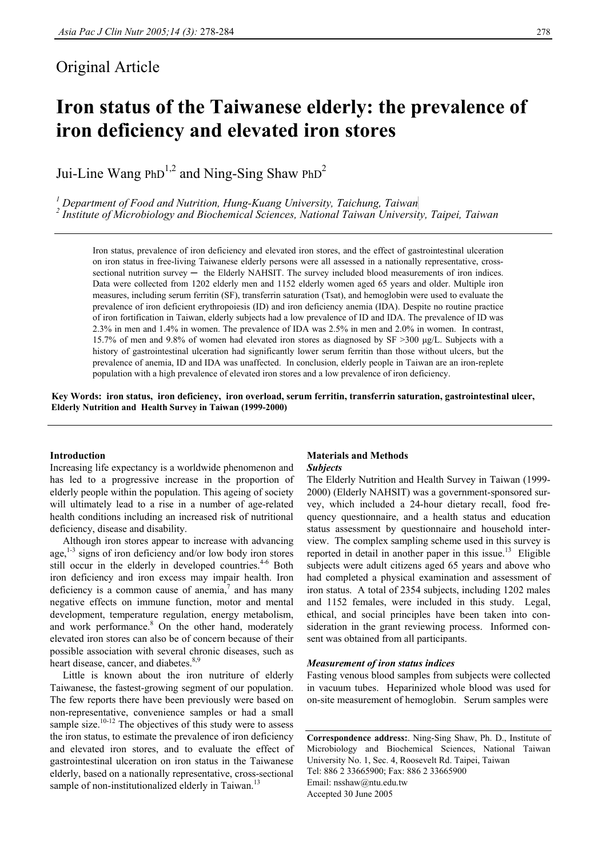# Original Article

# **Iron status of the Taiwanese elderly: the prevalence of iron deficiency and elevated iron stores**

Jui-Line Wang PhD<sup>1,2</sup> and Ning-Sing Shaw PhD<sup>2</sup>

<sup>1</sup> Department of Food and Nutrition, Hung-Kuang University, Taichung, Taiwan 2<sup>2</sup>  *Institute of Microbiology and Biochemical Sciences, National Taiwan University, Taipei, Taiwan* 

Iron status, prevalence of iron deficiency and elevated iron stores, and the effect of gastrointestinal ulceration on iron status in free-living Taiwanese elderly persons were all assessed in a nationally representative, crosssectional nutrition survey — the Elderly NAHSIT. The survey included blood measurements of iron indices. Data were collected from 1202 elderly men and 1152 elderly women aged 65 years and older. Multiple iron measures, including serum ferritin (SF), transferrin saturation (Tsat), and hemoglobin were used to evaluate the prevalence of iron deficient erythropoiesis (ID) and iron deficiency anemia (IDA). Despite no routine practice of iron fortification in Taiwan, elderly subjects had a low prevalence of ID and IDA. The prevalence of ID was 2.3% in men and 1.4% in women. The prevalence of IDA was 2.5% in men and 2.0% in women. In contrast, 15.7% of men and 9.8% of women had elevated iron stores as diagnosed by SF >300 µg/L. Subjects with a history of gastrointestinal ulceration had significantly lower serum ferritin than those without ulcers, but the prevalence of anemia, ID and IDA was unaffected. In conclusion, elderly people in Taiwan are an iron-replete population with a high prevalence of elevated iron stores and a low prevalence of iron deficiency.

**Key Words: iron status, iron deficiency, iron overload, serum ferritin, transferrin saturation, gastrointestinal ulcer, Elderly Nutrition and Health Survey in Taiwan (1999-2000)**

## **Introduction**

Increasing life expectancy is a worldwide phenomenon and has led to a progressive increase in the proportion of elderly people within the population. This ageing of society will ultimately lead to a rise in a number of age-related health conditions including an increased risk of nutritional deficiency, disease and disability.

 Although iron stores appear to increase with advancing age, $1-3$  signs of iron deficiency and/or low body iron stores still occur in the elderly in developed countries.<sup>4-6</sup> Both iron deficiency and iron excess may impair health. Iron deficiency is a common cause of anemia, $\alpha$  and has many negative effects on immune function, motor and mental development, temperature regulation, energy metabolism, and work performance.<sup>8</sup> On the other hand, moderately elevated iron stores can also be of concern because of their possible association with several chronic diseases, such as heart disease, cancer, and diabetes.<sup>8,9</sup>

 Little is known about the iron nutriture of elderly Taiwanese, the fastest-growing segment of our population. The few reports there have been previously were based on non-representative, convenience samples or had a small sample size.<sup>10-12</sup> The objectives of this study were to assess the iron status, to estimate the prevalence of iron deficiency and elevated iron stores, and to evaluate the effect of gastrointestinal ulceration on iron status in the Taiwanese elderly, based on a nationally representative, cross-sectional sample of non-institutionalized elderly in Taiwan.<sup>13</sup>

# **Materials and Methods**  *Subjects*

The Elderly Nutrition and Health Survey in Taiwan (1999- 2000) (Elderly NAHSIT) was a government-sponsored survey, which included a 24-hour dietary recall, food frequency questionnaire, and a health status and education status assessment by questionnaire and household interview. The complex sampling scheme used in this survey is reported in detail in another paper in this issue.<sup>13</sup> Eligible subjects were adult citizens aged 65 years and above who had completed a physical examination and assessment of iron status. A total of 2354 subjects, including 1202 males and 1152 females, were included in this study. Legal, ethical, and social principles have been taken into consideration in the grant reviewing process. Informed consent was obtained from all participants.

## *Measurement of iron status indices*

Fasting venous blood samples from subjects were collected in vacuum tubes. Heparinized whole blood was used for on-site measurement of hemoglobin. Serum samples were

**Correspondence address:**. Ning-Sing Shaw, Ph. D., Institute of Microbiology and Biochemical Sciences, National Taiwan University No. 1, Sec. 4, Roosevelt Rd. Taipei, Taiwan Tel: 886 2 33665900; Fax: 886 2 33665900 Email: nsshaw@ntu.edu.tw Accepted 30 June 2005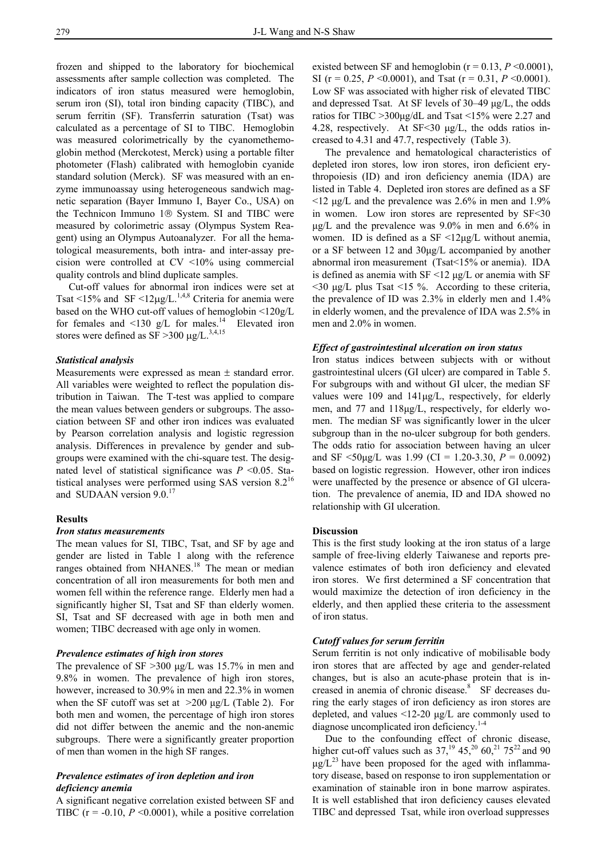frozen and shipped to the laboratory for biochemical assessments after sample collection was completed. The indicators of iron status measured were hemoglobin, serum iron (SI), total iron binding capacity (TIBC), and serum ferritin (SF). Transferrin saturation (Tsat) was calculated as a percentage of SI to TIBC. Hemoglobin was measured colorimetrically by the cyanomethemoglobin method (Merckotest, Merck) using a portable filter photometer (Flash) calibrated with hemoglobin cyanide standard solution (Merck). SF was measured with an enzyme immunoassay using heterogeneous sandwich magnetic separation (Bayer Immuno I, Bayer Co., USA) on the Technicon Immuno  $1 \circledR$  System. SI and TIBC were measured by colorimetric assay (Olympus System Reagent) using an Olympus Autoanalyzer. For all the hematological measurements, both intra- and inter-assay precision were controlled at CV <10% using commercial quality controls and blind duplicate samples.

 Cut-off values for abnormal iron indices were set at Tsat <15% and SF <12 $\mu$ g/L.<sup>1,4,8</sup> Criteria for anemia were based on the WHO cut-off values of hemoglobin <120g/L for females and  $\leq 130$  g/L for males.<sup>14</sup> Elevated iron stores were defined as  $SF > 300 \mu g/L$ .<sup>3,4,15</sup>

# *Statistical analysis*

Measurements were expressed as mean ± standard error. All variables were weighted to reflect the population distribution in Taiwan. The T-test was applied to compare the mean values between genders or subgroups. The association between SF and other iron indices was evaluated by Pearson correlation analysis and logistic regression analysis. Differences in prevalence by gender and subgroups were examined with the chi-square test. The designated level of statistical significance was *P* <0.05. Statistical analyses were performed using SAS version  $8.2^{16}$ and SUDAAN version 9.0.<sup>17</sup>

# **Results**

# *Iron status measurements*

The mean values for SI, TIBC, Tsat, and SF by age and gender are listed in Table 1 along with the reference ranges obtained from NHANES.<sup>18</sup> The mean or median concentration of all iron measurements for both men and women fell within the reference range. Elderly men had a significantly higher SI, Tsat and SF than elderly women. SI, Tsat and SF decreased with age in both men and women; TIBC decreased with age only in women.

#### *Prevalence estimates of high iron stores*

The prevalence of SF > 300 µg/L was 15.7% in men and 9.8% in women. The prevalence of high iron stores, however, increased to 30.9% in men and 22.3% in women when the SF cutoff was set at  $>200 \mu g/L$  (Table 2). For both men and women, the percentage of high iron stores did not differ between the anemic and the non-anemic subgroups. There were a significantly greater proportion of men than women in the high SF ranges.

# *Prevalence estimates of iron depletion and iron deficiency anemia*

A significant negative correlation existed between SF and TIBC ( $r = -0.10$ ,  $P \le 0.0001$ ), while a positive correlation existed between SF and hemoglobin ( $r = 0.13$ ,  $P \le 0.0001$ ), SI ( $r = 0.25$ ,  $P \le 0.0001$ ), and Tsat ( $r = 0.31$ ,  $P \le 0.0001$ ). Low SF was associated with higher risk of elevated TIBC and depressed Tsat. At SF levels of 30–49 µg/L, the odds ratios for TIBC >300µg/dL and Tsat <15% were 2.27 and 4.28, respectively. At SF<30 µg/L, the odds ratios increased to 4.31 and 47.7, respectively (Table 3).

 The prevalence and hematological characteristics of depleted iron stores, low iron stores, iron deficient erythropoiesis (ID) and iron deficiency anemia (IDA) are listed in Table 4. Depleted iron stores are defined as a SF  $\leq$ 12 µg/L and the prevalence was 2.6% in men and 1.9% in women. Low iron stores are represented by SF<30 µg/L and the prevalence was 9.0% in men and 6.6% in women. ID is defined as a SF <12µg/L without anemia, or a SF between 12 and 30µg/L accompanied by another abnormal iron measurement (Tsat<15% or anemia). IDA is defined as anemia with  $SF < 12 \mu g/L$  or anemia with SF  $\leq$ 30 µg/L plus Tsat  $\leq$ 15 %. According to these criteria, the prevalence of ID was 2.3% in elderly men and 1.4% in elderly women, and the prevalence of IDA was 2.5% in men and 2.0% in women.

#### *Effect of gastrointestinal ulceration on iron status*

Iron status indices between subjects with or without gastrointestinal ulcers (GI ulcer) are compared in Table 5. For subgroups with and without GI ulcer, the median SF values were 109 and 141µg/L, respectively, for elderly men, and 77 and 118µg/L, respectively, for elderly women. The median SF was significantly lower in the ulcer subgroup than in the no-ulcer subgroup for both genders. The odds ratio for association between having an ulcer and SF  $\leq 50 \text{ug/L}$  was 1.99 (CI = 1.20-3.30,  $P = 0.0092$ ) based on logistic regression.However, other iron indices were unaffected by the presence or absence of GI ulceration. The prevalence of anemia, ID and IDA showed no relationship with GI ulceration.

#### **Discussion**

This is the first study looking at the iron status of a large sample of free-living elderly Taiwanese and reports prevalence estimates of both iron deficiency and elevated iron stores. We first determined a SF concentration that would maximize the detection of iron deficiency in the elderly, and then applied these criteria to the assessment of iron status.

# *Cutoff values for serum ferritin*

Serum ferritin is not only indicative of mobilisable body iron stores that are affected by age and gender-related changes, but is also an acute-phase protein that is increased in anemia of chronic disease.<sup>8</sup> SF decreases during the early stages of iron deficiency as iron stores are depleted, and values  $\leq 12-20$  µg/L are commonly used to diagnose uncomplicated iron deficiency.<sup>1-4</sup>

 Due to the confounding effect of chronic disease, higher cut-off values such as  $37<sup>19</sup>$ ,  $45<sup>20</sup>$ ,  $60<sup>21</sup>$ ,  $75<sup>22</sup>$  and 90  $\mu$ g/L<sup>23</sup> have been proposed for the aged with inflammatory disease, based on response to iron supplementation or examination of stainable iron in bone marrow aspirates. It is well established that iron deficiency causes elevated TIBC and depressed Tsat, while iron overload suppresses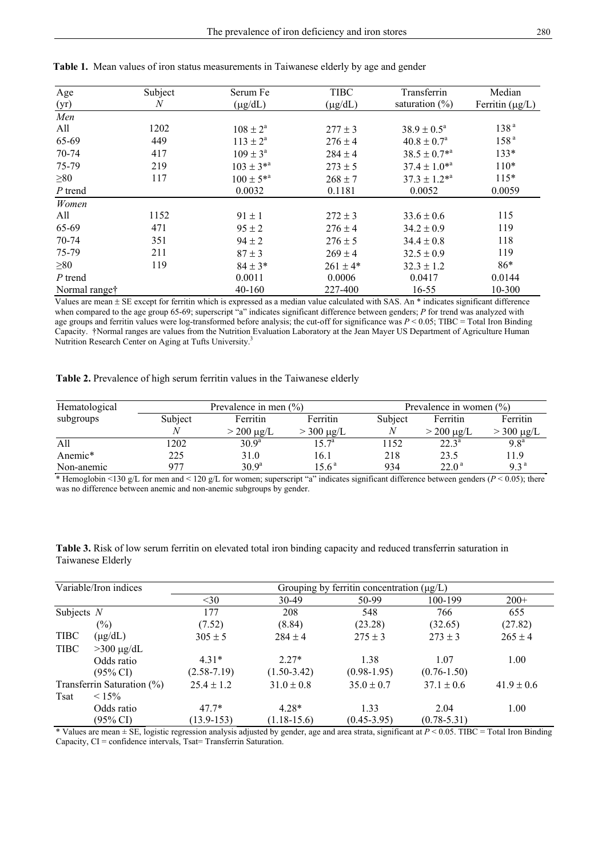| Age                       | Subject | Serum Fe            | <b>TIBC</b>  | Transferrin            | Median               |
|---------------------------|---------|---------------------|--------------|------------------------|----------------------|
| (yr)                      | N       | $(\mu g/dL)$        | $(\mu g/dL)$ | saturation $(\%)$      | Ferritin $(\mu g/L)$ |
| Men                       |         |                     |              |                        |                      |
| All                       | 1202    | $108 \pm 2^{\rm a}$ | $277 \pm 3$  | $38.9 \pm 0.5^{\circ}$ | 138 <sup>a</sup>     |
| 65-69                     | 449     | $113 \pm 2^a$       | $276 \pm 4$  | $40.8 \pm 0.7^{\circ}$ | 158 <sup>a</sup>     |
| 70-74                     | 417     | $109 \pm 3^{\circ}$ | $284 \pm 4$  | $38.5 \pm 0.7^{*a}$    | $133*$               |
| 75-79                     | 219     | $103 \pm 3^{*a}$    | $273 \pm 5$  | $37.4 \pm 1.0^{*a}$    | $110*$               |
| $\geq 80$                 | 117     | $100 \pm 5^{*a}$    | $268 \pm 7$  | $37.3 \pm 1.2^{*a}$    | $115*$               |
| $P$ trend                 |         | 0.0032              | 0.1181       | 0.0052                 | 0.0059               |
| Women                     |         |                     |              |                        |                      |
| All                       | 1152    | $91 \pm 1$          | $272 \pm 3$  | $33.6 \pm 0.6$         | 115                  |
| 65-69                     | 471     | $95 \pm 2$          | $276 \pm 4$  | $34.2 \pm 0.9$         | 119                  |
| 70-74                     | 351     | $94 \pm 2$          | $276 \pm 5$  | $34.4 \pm 0.8$         | 118                  |
| 75-79                     | 211     | $87 \pm 3$          | $269 \pm 4$  | $32.5 \pm 0.9$         | 119                  |
| $\geq 80$                 | 119     | $84 \pm 3*$         | $261 \pm 4*$ | $32.3 \pm 1.2$         | $86*$                |
| P trend                   |         | 0.0011              | 0.0006       | 0.0417                 | 0.0144               |
| Normal range <sup>†</sup> |         | 40-160              | 227-400      | $16 - 55$              | 10-300               |

**Table 1.** Mean values of iron status measurements in Taiwanese elderly by age and gender

Values are mean ± SE except for ferritin which is expressed as a median value calculated with SAS. An \* indicates significant difference when compared to the age group 65-69; superscript "a" indicates significant difference between genders; *P* for trend was analyzed with age groups and ferritin values were log-transformed before analysis; the cut-off for significance was *P* < 0.05; TIBC = Total Iron Binding Capacity. †Normal ranges are values from the Nutrition Evaluation Laboratory at the Jean Mayer US Department of Agriculture Human Nutrition Research Center on Aging at Tufts University.<sup>3</sup>

# **Table 2.** Prevalence of high serum ferritin values in the Taiwanese elderly

| Hematological       | Prevalence in men $(\% )$ |                   |                   |         | Prevalence in women $(\% )$ |                  |  |  |
|---------------------|---------------------------|-------------------|-------------------|---------|-----------------------------|------------------|--|--|
| subgroups           | Subject                   | Ferritin          | Ferritin          | Subject | <b>Ferritin</b>             | Ferritin         |  |  |
|                     |                           | $> 200 \mu g/L$   | $> 300 \mu g/L$   |         | $>$ 200 µg/L                | $>$ 300 µg/L     |  |  |
| All                 | 1202                      | $30.9^{\rm a}$    | $15.7^{\rm a}$    | 1152    | $22.3^{\circ}$              | 9.8 <sup>a</sup> |  |  |
| Anemic <sup>*</sup> | 225                       | 31.0              | 16.1              | 218     | 23.5                        | 11.9             |  |  |
| Non-anemic          | 977                       | 30.9 <sup>a</sup> | 15.6 <sup>a</sup> | 934     | $22.0^{\text{a}}$           | 9.3 <sup>a</sup> |  |  |

\* Hemoglobin <130 g/L for men and < 120 g/L for women; superscript "a" indicates significant difference between genders (*P* < 0.05); there was no difference between anemic and non-anemic subgroups by gender.

| Table 3. Risk of low serum ferritin on elevated total iron binding capacity and reduced transferrin saturation in |  |  |  |
|-------------------------------------------------------------------------------------------------------------------|--|--|--|
| Taiwanese Elderly                                                                                                 |  |  |  |

| Variable/Iron indices |                            |                 |                | Grouping by ferritin concentration $(\mu g/L)$ |                 |                |
|-----------------------|----------------------------|-----------------|----------------|------------------------------------------------|-----------------|----------------|
|                       |                            | $<$ 30          | 30-49          | 50-99                                          | 100-199         | $200+$         |
| Subjects $N$          |                            | 177             | 208            | 548                                            | 766             | 655            |
|                       | $(\%)$                     | (7.52)          | (8.84)         | (23.28)                                        | (32.65)         | (27.82)        |
| <b>TIBC</b>           | $(\mu g/dL)$               | $305 \pm 5$     | $284 \pm 4$    | $275 \pm 3$                                    | $273 \pm 3$     | $265 \pm 4$    |
| <b>TIBC</b>           | $>300 \mu g/dL$            |                 |                |                                                |                 |                |
|                       | Odds ratio                 | $4.31*$         | $2.27*$        | 1.38                                           | 1.07            | 1.00           |
|                       | $(95\% \text{ CI})$        | $(2.58 - 7.19)$ | $(1.50-3.42)$  | $(0.98-1.95)$                                  | $(0.76 - 1.50)$ |                |
|                       | Transferrin Saturation (%) | $25.4 \pm 1.2$  | $31.0 \pm 0.8$ | $35.0 \pm 0.7$                                 | $37.1 \pm 0.6$  | $41.9 \pm 0.6$ |
| Tsat                  | $< 15\%$                   |                 |                |                                                |                 |                |
|                       | Odds ratio                 | $47.7*$         | $4.28*$        | 1.33                                           | 2.04            | 1.00           |
|                       | $(95\% \text{ CI})$        | $(13.9 - 153)$  | $(1.18-15.6)$  | $(0.45 - 3.95)$                                | $(0.78 - 5.31)$ |                |

\* Values are mean  $\pm$  SE, logistic regression analysis adjusted by gender, age and area strata, significant at  $P \le 0.05$ . TIBC = Total Iron Binding Capacity, CI = confidence intervals, Tsat= Transferrin Saturation.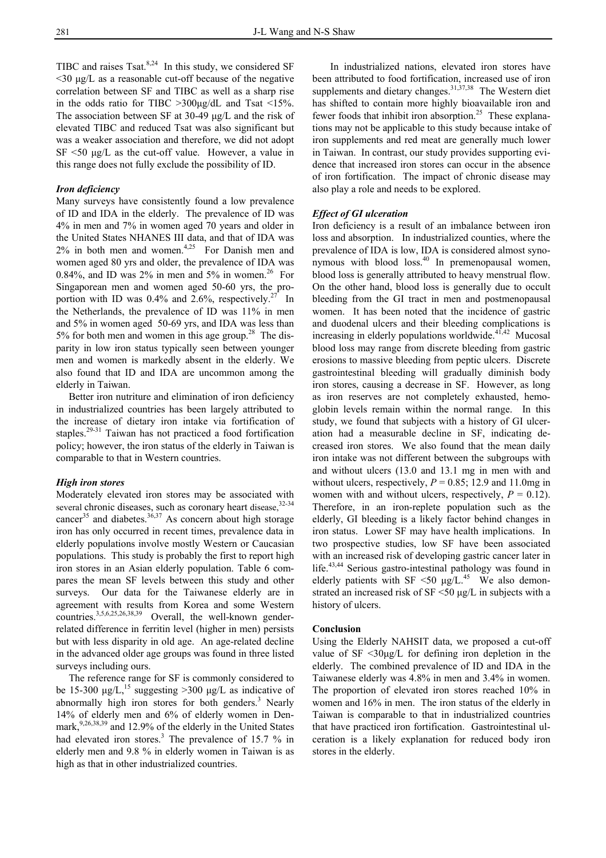TIBC and raises Tsat. $8,24$  In this study, we considered SF <30 µg/L as a reasonable cut-off because of the negative correlation between SF and TIBC as well as a sharp rise in the odds ratio for TIBC >300µg/dL and Tsat <15%. The association between SF at 30-49 µg/L and the risk of elevated TIBC and reduced Tsat was also significant but was a weaker association and therefore, we did not adopt  $SF < 50 \mu g/L$  as the cut-off value. However, a value in this range does not fully exclude the possibility of ID.

# *Iron deficiency*

Many surveys have consistently found a low prevalence of ID and IDA in the elderly. The prevalence of ID was 4% in men and 7% in women aged 70 years and older in the United States NHANES III data, and that of IDA was  $2\%$  in both men and women.<sup>4,25</sup> For Danish men and women aged 80 yrs and older, the prevalence of IDA was 0.84%, and ID was  $2\%$  in men and  $5\%$  in women.<sup>26</sup> For Singaporean men and women aged 50-60 yrs, the proportion with ID was  $0.4\%$  and  $2.6\%$ , respectively.<sup>27</sup> In the Netherlands, the prevalence of ID was 11% in men and 5% in women aged 50-69 yrs, and IDA was less than 5% for both men and women in this age group.<sup>28</sup> The disparity in low iron status typically seen between younger men and women is markedly absent in the elderly. We also found that ID and IDA are uncommon among the elderly in Taiwan.

 Better iron nutriture and elimination of iron deficiency in industrialized countries has been largely attributed to the increase of dietary iron intake via fortification of staples.29-31 Taiwan has not practiced a food fortification policy; however, the iron status of the elderly in Taiwan is comparable to that in Western countries.

#### *High iron stores*

Moderately elevated iron stores may be associated with several chronic diseases, such as coronary heart disease, 32-34 cancer<sup>35</sup> and diabetes.<sup>36,37</sup> As concern about high storage iron has only occurred in recent times, prevalence data in elderly populations involve mostly Western or Caucasian populations. This study is probably the first to report high iron stores in an Asian elderly population. Table 6 compares the mean SF levels between this study and other surveys. Our data for the Taiwanese elderly are in agreement with results from Korea and some Western countries.3,5,6,25,26,38,39 Overall, the well-known genderrelated difference in ferritin level (higher in men) persists but with less disparity in old age. An age-related decline in the advanced older age groups was found in three listed surveys including ours.

 The reference range for SF is commonly considered to be 15-300  $\mu$ g/L,<sup>15</sup> suggesting >300  $\mu$ g/L as indicative of abnormally high iron stores for both genders.<sup>3</sup> Nearly 14% of elderly men and 6% of elderly women in Denmark,  $9,26,38,39$  and 12.9% of the elderly in the United States had elevated iron stores.<sup>3</sup> The prevalence of 15.7  $\%$  in elderly men and 9.8 % in elderly women in Taiwan is as high as that in other industrialized countries.

 In industrialized nations, elevated iron stores have been attributed to food fortification, increased use of iron supplements and dietary changes. $31,37,38$  The Western diet has shifted to contain more highly bioavailable iron and fewer foods that inhibit iron absorption.<sup>25</sup> These explanations may not be applicable to this study because intake of iron supplements and red meat are generally much lower in Taiwan. In contrast, our study provides supporting evidence that increased iron stores can occur in the absence of iron fortification. The impact of chronic disease may also play a role and needs to be explored.

#### *Effect of GI ulceration*

Iron deficiency is a result of an imbalance between iron loss and absorption. In industrialized counties, where the prevalence of IDA is low, IDA is considered almost synonymous with blood  $loss<sup>40</sup>$  In premenopausal women, blood loss is generally attributed to heavy menstrual flow. On the other hand, blood loss is generally due to occult bleeding from the GI tract in men and postmenopausal women. It has been noted that the incidence of gastric and duodenal ulcers and their bleeding complications is increasing in elderly populations worldwide. $4\overline{1},42$  Mucosal blood loss may range from discrete bleeding from gastric erosions to massive bleeding from peptic ulcers. Discrete gastrointestinal bleeding will gradually diminish body iron stores, causing a decrease in SF. However, as long as iron reserves are not completely exhausted, hemoglobin levels remain within the normal range. In this study, we found that subjects with a history of GI ulceration had a measurable decline in SF, indicating decreased iron stores. We also found that the mean daily iron intake was not different between the subgroups with and without ulcers (13.0 and 13.1 mg in men with and without ulcers, respectively,  $P = 0.85$ ; 12.9 and 11.0mg in women with and without ulcers, respectively,  $P = 0.12$ ). Therefore, in an iron-replete population such as the elderly, GI bleeding is a likely factor behind changes in iron status. Lower SF may have health implications. In two prospective studies, low SF have been associated with an increased risk of developing gastric cancer later in life.<sup>43,44</sup> Serious gastro-intestinal pathology was found in elderly patients with SF  $\leq 50 \text{ µg/L}^{45}$ . We also demonstrated an increased risk of SF <50 µg/L in subjects with a history of ulcers.

#### **Conclusion**

Using the Elderly NAHSIT data, we proposed a cut-off value of  $SF < 30\mu g/L$  for defining iron depletion in the elderly. The combined prevalence of ID and IDA in the Taiwanese elderly was 4.8% in men and 3.4% in women. The proportion of elevated iron stores reached 10% in women and 16% in men. The iron status of the elderly in Taiwan is comparable to that in industrialized countries that have practiced iron fortification. Gastrointestinal ulceration is a likely explanation for reduced body iron stores in the elderly.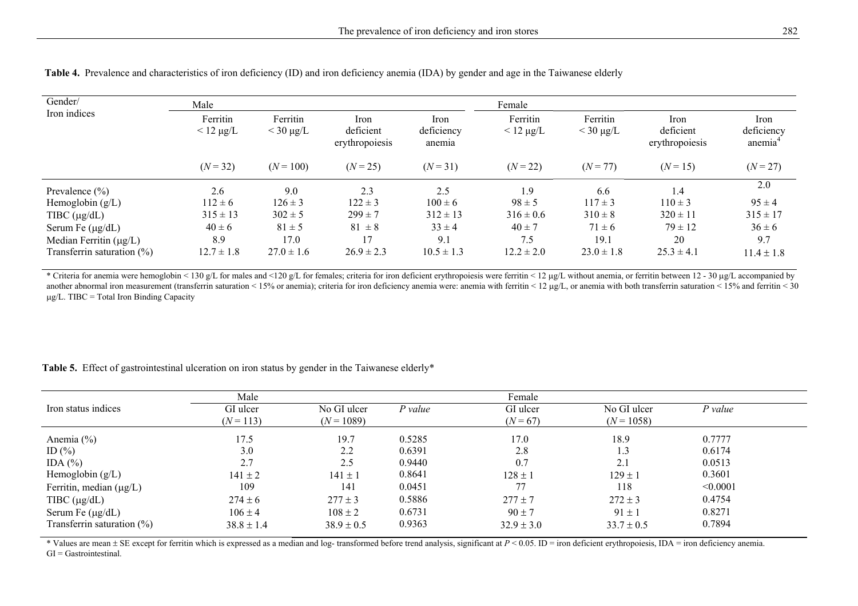| Gender/                       | Male                       |                              |                                     |                              | Female                     |                              |                                     |                              |
|-------------------------------|----------------------------|------------------------------|-------------------------------------|------------------------------|----------------------------|------------------------------|-------------------------------------|------------------------------|
| Iron indices                  | Ferritin<br>$< 12 \mu g/L$ | Ferritin<br>$<$ 30 $\mu$ g/L | Iron<br>deficient<br>erythropoiesis | Iron<br>deficiency<br>anemia | Ferritin<br>$< 12 \mu g/L$ | Ferritin<br>$<$ 30 $\mu$ g/L | Iron<br>deficient<br>erythropoiesis | Iron<br>deficiency<br>anemia |
|                               | $(N = 32)$                 | $(N = 100)$                  | $(N = 25)$                          | $(N = 31)$                   | $(N = 22)$                 | $(N = 77)$                   | $(N = 15)$                          | $(N = 27)$                   |
| Prevalence $(\% )$            | 2.6                        | 9.0                          | 2.3                                 | 2.5                          | 1.9                        | 6.6                          | 1.4                                 | 2.0                          |
| Hemoglobin $(g/L)$            | $112 \pm 6$                | $126 \pm 3$                  | $122 \pm 3$                         | $100 \pm 6$                  | $98 \pm 5$                 | $117 \pm 3$                  | $110 \pm 3$                         | $95 \pm 4$                   |
| TIBC $(\mu g/dL)$             | $315 \pm 13$               | $302 \pm 5$                  | $299 \pm 7$                         | $312 \pm 13$                 | $316 \pm 0.6$              | $310 \pm 8$                  | $320 \pm 11$                        | $315 \pm 17$                 |
| Serum Fe $(\mu g/dL)$         | $40 \pm 6$                 | $81 \pm 5$                   | $81 \pm 8$                          | $33 \pm 4$                   | $40 \pm 7$                 | $71 \pm 6$                   | $79 \pm 12$                         | $36 \pm 6$                   |
| Median Ferritin $(\mu g/L)$   | 8.9                        | 17.0                         | 17                                  | 9.1                          | 7.5                        | 19.1                         | 20                                  | 9.7                          |
| Transferrin saturation $(\%)$ | $12.7 \pm 1.8$             | $27.0 \pm 1.6$               | $26.9 \pm 2.3$                      | $10.5 \pm 1.3$               | $12.2 \pm 2.0$             | $23.0 \pm 1.8$               | $25.3 \pm 4.1$                      | $11.4 \pm 1.8$               |

 **Table 4.** Prevalence and characteristics of iron deficiency (ID) and iron deficiency anemia (IDA) by gender and age in the Taiwanese elderly

\* Criteria for anemia were hemoglobin < 130 g/L for males and <120 g/L for females; criteria for iron deficient erythropoiesis were ferritin < 12 µg/L without anemia, or ferritin between 12 - 30 µg/L accompanied by another abnormal iron measurement (transferrin saturation < 15% or anemia); criteria for iron deficiency anemia were: anemia with ferritin < 12 µg/L, or anemia with both transferrin saturation < 15% and ferritin < 30 µg/L. TIBC = Total Iron Binding Capacity

Table 5. Effect of gastrointestinal ulceration on iron status by gender in the Taiwanese elderly<sup>\*</sup>

|                               | Male                    |                             |           | Female                 |                             |           |  |
|-------------------------------|-------------------------|-----------------------------|-----------|------------------------|-----------------------------|-----------|--|
| Iron status indices           | GI ulcer<br>$(N = 113)$ | No GI ulcer<br>$(N = 1089)$ | $P$ value | GI ulcer<br>$(N = 67)$ | No GI ulcer<br>$(N = 1058)$ | $P$ value |  |
| Anemia $(\% )$                | 17.5                    | 19.7                        | 0.5285    | 17.0                   | 18.9                        | 0.7777    |  |
| ID $(\% )$                    | 3.0                     | 2.2                         | 0.6391    | 2.8                    | 1.3                         | 0.6174    |  |
| IDA $(%)$                     | 2.7                     | 2.5                         | 0.9440    | 0.7                    | 2.1                         | 0.0513    |  |
| Hemoglobin $(g/L)$            | $141 \pm 2$             | $141 \pm 1$                 | 0.8641    | $128 \pm 1$            | $129 \pm 1$                 | 0.3601    |  |
| Ferritin, median $(\mu g/L)$  | 109                     | 141                         | 0.0451    | 77                     | 118                         | < 0.0001  |  |
| TIBC $(\mu g/dL)$             | $274 \pm 6$             | $277 \pm 3$                 | 0.5886    | $277 \pm 7$            | $272 \pm 3$                 | 0.4754    |  |
| Serum Fe $(\mu g/dL)$         | $106 \pm 4$             | $108 \pm 2$                 | 0.6731    | $90 \pm 7$             | $91 \pm 1$                  | 0.8271    |  |
| Transferrin saturation $(\%)$ | $38.8 \pm 1.4$          | $38.9 \pm 0.5$              | 0.9363    | $32.9 \pm 3.0$         | $33.7 \pm 0.5$              | 0.7894    |  |

\* Values are mean ± SE except for ferritin which is expressed as a median and log- transformed before trend analysis, significant at *P* < 0.05. ID = iron deficient erythropoiesis, IDA = iron deficiency anemia.  $GI = G$ astrointestinal.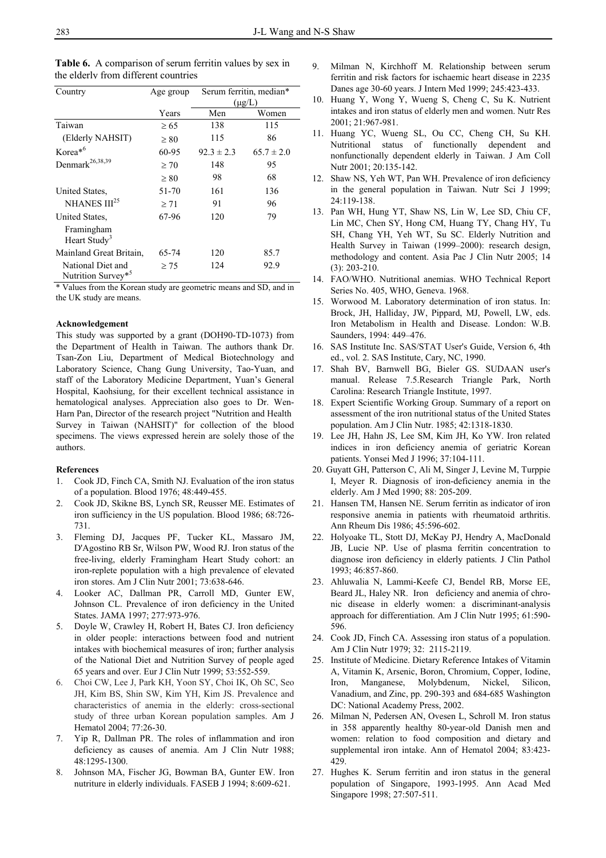| Country                                | Age group |                | Serum ferritin, median* |  |
|----------------------------------------|-----------|----------------|-------------------------|--|
|                                        |           | $(\mu g/L)$    |                         |  |
|                                        | Years     | Men            | Women                   |  |
| Taiwan                                 | $\geq 65$ | 138            | 115                     |  |
| (Elderly NAHSIT)                       | $\geq 80$ | 115            | 86                      |  |
| Korea <sup>*6</sup>                    | 60-95     | $92.3 \pm 2.3$ | $65.7 \pm 2.0$          |  |
| Denmark <sup>26,38,39</sup>            | $\geq 70$ | 148            | 95                      |  |
|                                        | $\geq 80$ | 98             | 68                      |  |
| United States,                         | 51-70     | 161            | 136                     |  |
| NHANES III <sup>25</sup>               | $\geq 71$ | 91             | 96                      |  |
| United States.                         | 67-96     | 120            | 79                      |  |
| Framingham<br>Heart Study <sup>3</sup> |           |                |                         |  |
| Mainland Great Britain,                | 65-74     | 120            | 85.7                    |  |

 **Table 6.** A comparison of serum ferritin values by sex in

\* Values from the Korean study are geometric means and SD, and in the UK study are means.

124

92.9

 $> 75$ 

#### **Acknowledgement**

 National Diet and Nutrition Survey\*<sup>5</sup>

This study was supported by a grant (DOH90-TD-1073) from the Department of Health in Taiwan. The authors thank Dr. Tsan-Zon Liu, Department of Medical Biotechnology and Laboratory Science, Chang Gung University, Tao-Yuan, and staff of the Laboratory Medicine Department, Yuan's General Hospital, Kaohsiung, for their excellent technical assistance in hematological analyses. Appreciation also goes to Dr. Wen-Harn Pan, Director of the research project "Nutrition and Health Survey in Taiwan (NAHSIT)" for collection of the blood specimens. The views expressed herein are solely those of the authors.

#### **References**

- 1. Cook JD, Finch CA, Smith NJ. Evaluation of the iron status of a population. Blood 1976; 48:449-455.
- 2. Cook JD, Skikne BS, Lynch SR, Reusser ME. Estimates of iron sufficiency in the US population. Blood 1986; 68:726- 731.
- 3. Fleming DJ, Jacques PF, Tucker KL, Massaro JM, D'Agostino RB Sr, Wilson PW, Wood RJ. Iron status of the free-living, elderly Framingham Heart Study cohort: an iron-replete population with a high prevalence of elevated iron stores. Am J Clin Nutr 2001; 73:638-646.
- 4. Looker AC, Dallman PR, Carroll MD, Gunter EW, Johnson CL. Prevalence of iron deficiency in the United States. JAMA 1997; 277:973-976.
- 5. Doyle W, Crawley H, Robert H, Bates CJ. Iron deficiency in older people: interactions between food and nutrient intakes with biochemical measures of iron; further analysis of the National Diet and Nutrition Survey of people aged 65 years and over. Eur J Clin Nutr 1999; 53:552-559.
- 6. Choi CW, Lee J, Park KH, Yoon SY, Choi IK, Oh SC, Seo JH, Kim BS, Shin SW, Kim YH, Kim JS. Prevalence and characteristics of anemia in the elderly: cross-sectional study of three urban Korean population samples. Am J Hematol 2004; 77:26-30.
- 7. Yip R, Dallman PR. The roles of inflammation and iron deficiency as causes of anemia. Am J Clin Nutr 1988; 48:1295-1300.
- 8. Johnson MA, Fischer JG, Bowman BA, Gunter EW. Iron nutriture in elderly individuals. FASEB J 1994; 8:609-621.
- 9. Milman N, Kirchhoff M. Relationship between serum ferritin and risk factors for ischaemic heart disease in 2235 Danes age 30-60 years. J Intern Med 1999; 245:423-433.
- 10. Huang Y, Wong Y, Wueng S, Cheng C, Su K. Nutrient intakes and iron status of elderly men and women. Nutr Res 2001; 21:967-981.
- 11. Huang YC, Wueng SL, Ou CC, Cheng CH, Su KH. Nutritional status of functionally dependent and nonfunctionally dependent elderly in Taiwan. J Am Coll Nutr 2001; 20:135-142.
- 12. Shaw NS, Yeh WT, Pan WH. Prevalence of iron deficiency in the general population in Taiwan. Nutr Sci J 1999; 24:119-138.
- 13. Pan WH, Hung YT, Shaw NS, Lin W, Lee SD, Chiu CF, Lin MC, Chen SY, Hong CM, Huang TY, Chang HY, Tu SH, Chang YH, Yeh WT, Su SC. Elderly Nutrition and Health Survey in Taiwan (1999–2000): research design, methodology and content. Asia Pac J Clin Nutr 2005; 14 (3): 203-210.
- 14. FAO/WHO. Nutritional anemias. WHO Technical Report Series No. 405, WHO, Geneva. 1968.
- 15. Worwood M. Laboratory determination of iron status. In: Brock, JH, Halliday, JW, Pippard, MJ, Powell, LW, eds. Iron Metabolism in Health and Disease. London: W.B. Saunders, 1994: 449–476.
- 16. SAS Institute Inc. SAS/STAT User's Guide, Version 6, 4th ed., vol. 2. SAS Institute, Cary, NC, 1990.
- 17. Shah BV, Barnwell BG, Bieler GS. SUDAAN user's manual. Release 7.5.Research Triangle Park, North Carolina: Research Triangle Institute, 1997.
- 18. Expert Scientific Working Group. Summary of a report on assessment of the iron nutritional status of the United States population. Am J Clin Nutr. 1985; 42:1318-1830.
- 19. Lee JH, Hahn JS, Lee SM, Kim JH, Ko YW. Iron related indices in iron deficiency anemia of geriatric Korean patients. Yonsei Med J 1996; 37:104-111.
- 20. Guyatt GH, Patterson C, Ali M, Singer J, Levine M, Turppie I, Meyer R. Diagnosis of iron-deficiency anemia in the elderly. Am J Med 1990; 88: 205-209.
- 21. Hansen TM, Hansen NE. Serum ferritin as indicator of iron responsive anemia in patients with rheumatoid arthritis. Ann Rheum Dis 1986; 45:596-602.
- 22. Holyoake TL, Stott DJ, McKay PJ, Hendry A, MacDonald JB, Lucie NP. Use of plasma ferritin concentration to diagnose iron deficiency in elderly patients. J Clin Pathol 1993; 46:857-860.
- 23. Ahluwalia N, Lammi-Keefe CJ, Bendel RB, Morse EE, Beard JL, Haley NR. Iron deficiency and anemia of chronic disease in elderly women: a discriminant-analysis approach for differentiation. Am J Clin Nutr 1995; 61:590- 596.
- 24. Cook JD, Finch CA. Assessing iron status of a population. Am J Clin Nutr 1979; 32: 2115-2119.
- 25. Institute of Medicine. Dietary Reference Intakes of Vitamin A, Vitamin K, Arsenic, Boron, Chromium, Copper, Iodine, Iron, Manganese, Molybdenum, Nickel, Silicon, Vanadium, and Zinc, pp. 290-393 and 684-685 Washington DC: National Academy Press, 2002.
- 26. Milman N, Pedersen AN, Ovesen L, Schroll M. Iron status in 358 apparently healthy 80-year-old Danish men and women: relation to food composition and dietary and supplemental iron intake. Ann of Hematol 2004; 83:423- 429.
- 27. Hughes K. Serum ferritin and iron status in the general population of Singapore, 1993-1995. Ann Acad Med Singapore 1998; 27:507-511.